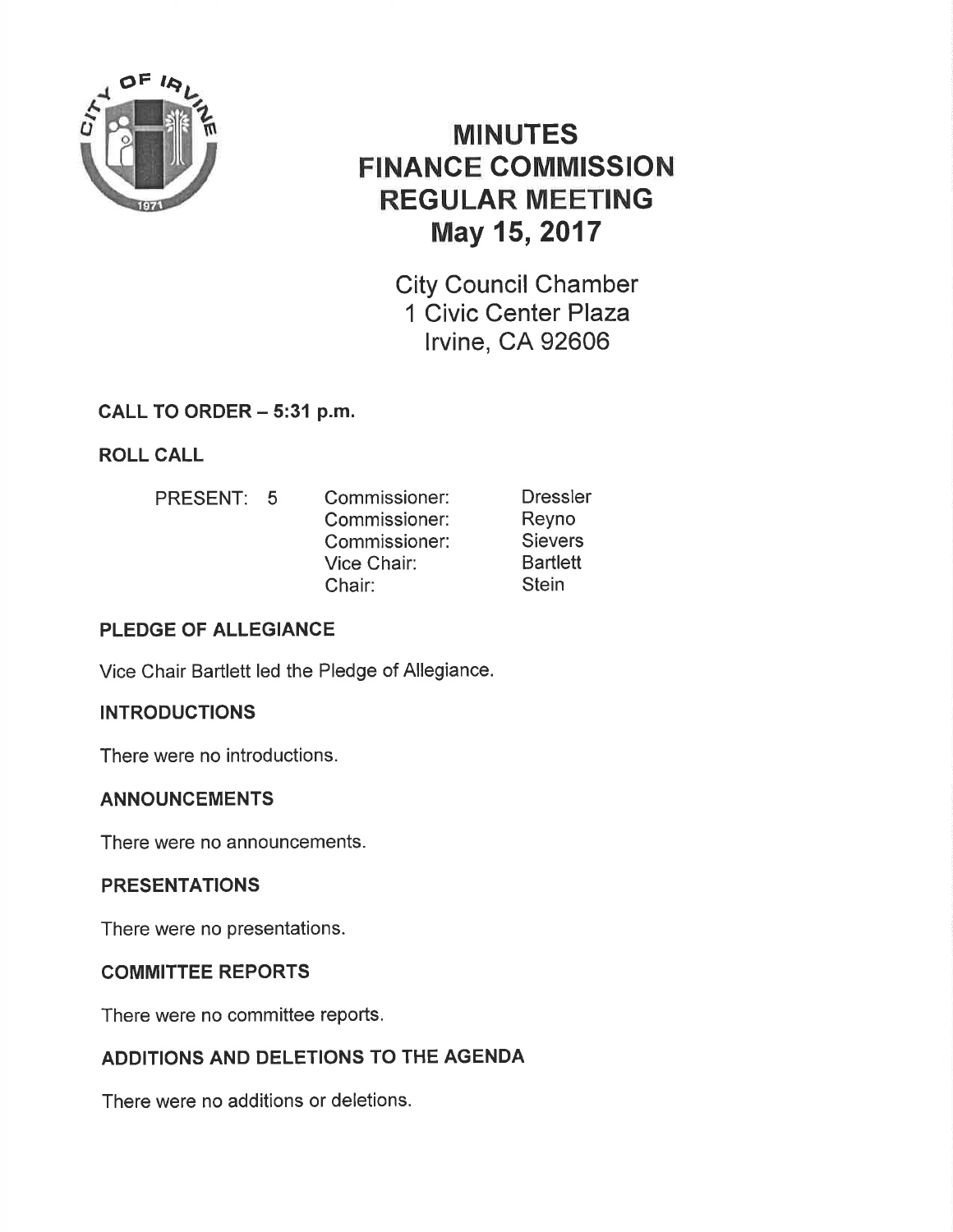

# MINUTES FINANCE COMMISSION REGULAR MEETING May 15,2017

City Council Chamber 1 Civic Center Plaza lrvine, CA 92606

# CALL TO ORDER - 5:31 p.m.

ROLL CALL

PRESENT: 5 Commissioner: Commissioner: Commissioner: Vice Chair: Chair: **Dressler** Reyno **Sievers Bartlett Stein** 

# PLEDGE OF ALLEGIANCE

Vice Chair Bartlett led the Pledge of Allegiance.

# **INTRODUCTIONS**

There were no introductions.

# ANNOUNCEMENTS

There were no announcements.

# PRESENTATIONS

There were no presentations.

# COMMITTEE REPORTS

There were no committee reports.

# ADDITIONS AND DELETIONS TO THE AGENDA

There were no additions or deletions.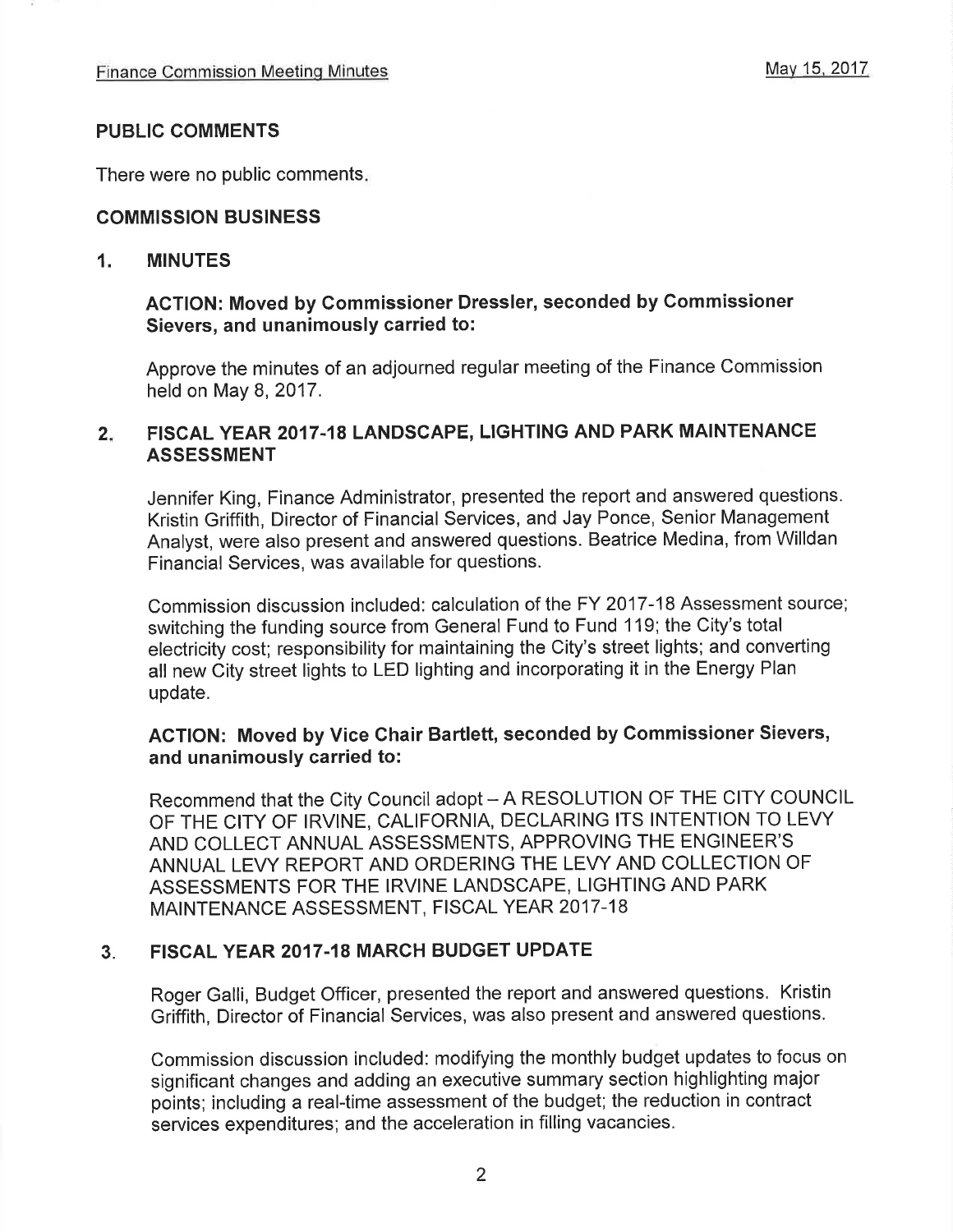#### PUBLIG COMMENTS

There were no public comments

#### COMMISSION BUSINESS

#### 1. MINUTES

### ACTION: Moved by Gommissioner Dressler, seconded by Commissioner Sievers, and unanimously carried to:

Approve the minutes of an adjourned regular meeting of the Finance Commission held on May 8, 2017.

# 2. FISCAL YEAR 2017-18 LANDSCAPE, LIGHTING AND PARK MAINTENANCE ASSESSMENT

Jennifer King, Finance Administrator, presented the report and answered questions. Kristin Griffith, Director of Financial Services, and Jay Ponce, Senior Management Analyst, were also present and answered questions. Beatrice Medina, from Willdan Financial Services, was available for questions.

Commission discussion included: calculation of the FY 2017-18 Assessment source; switching the funding source from General Fund to Fund 119; the City's total electricity cost; responsibility for maintaining the City's street lights; and converting all new City street lights to LED lighting and incorporating it in the Energy Plan update.

### AGTION: Moved by Vice Ghair Bartlett, seconded by Gommissioner Sievers, and unanimously carried to:

Recommend that the City Council adopt - A RESOLUTION OF THE CITY COUNCIL OF THE CITY OF IRVINE, CALIFORNIA, DECLARING ITS INTENTION TO LEVY AND COLLECT ANNUAL ASSESSMENTS, APPROVING THE ENGINEER'S ANNUAL LEVY REPORT AND ORDERING THE LEVY AND COLLECTION OF ASSESSMENTS FOR THE IRVINE LANDSCAPE, LIGHTING AND PARK MAINTENANCE ASSESSMENT, FISCAL YEAR 2017-18

#### 3. FISCAL YEAR 2017.18 MARCH BUDGET UPDATE

Roger Galli, Budget Officer, presented the report and answered questions. Kristin Griffith, Director of Financial Services, was also present and answered questions.

Commission discussion included: modifying the monthly budget updates to focus on significant changes and adding an executive summary section highlighting major points; including a real-time assessment of the budget; the reduction in contract services expenditures; and the acceleration in filling vacancies.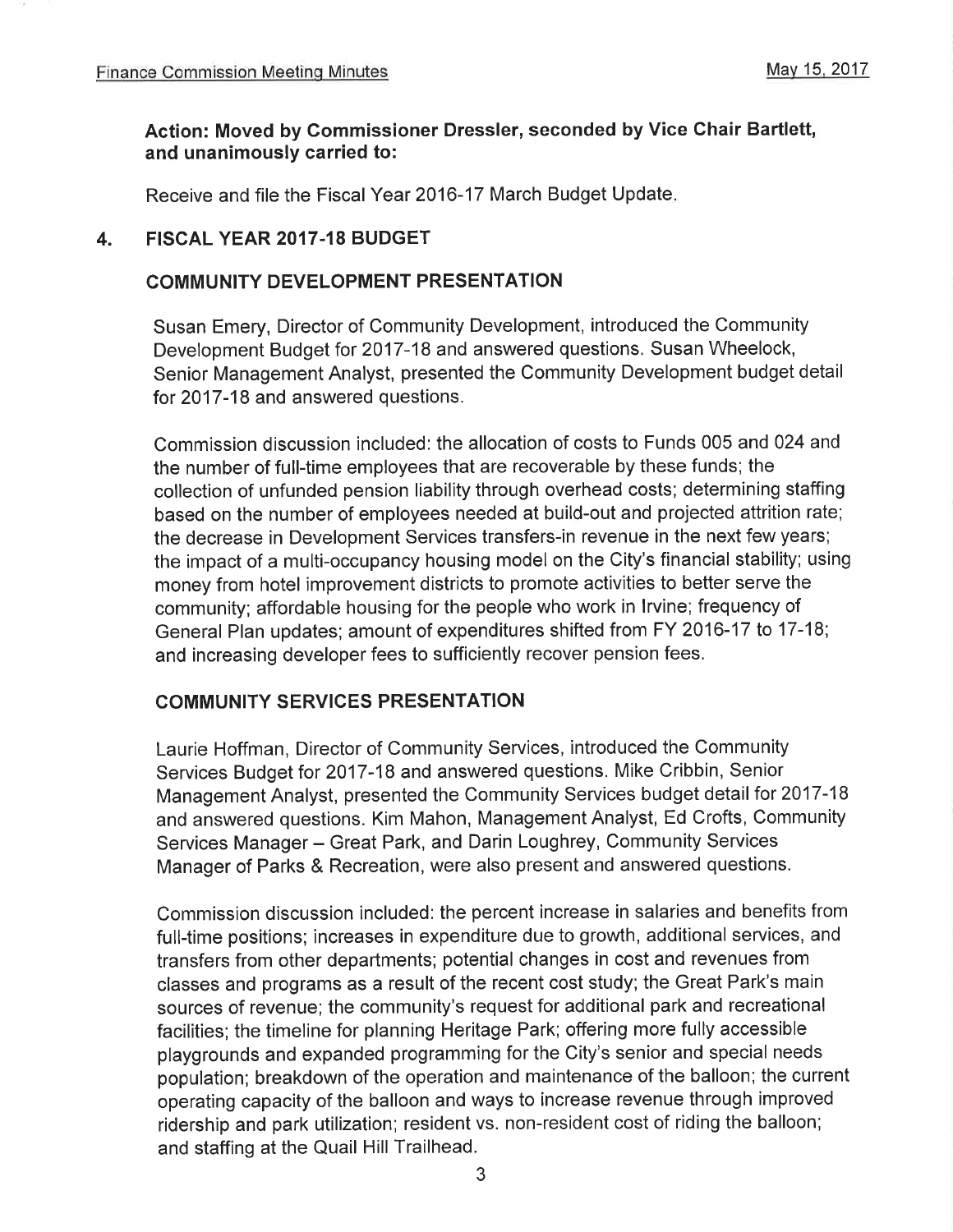#### Action: Moved by Commissioner Dressler, seconded by Vice Chair Bartlett, and unanimously carried to:

Receive and file the Fiscal Year 2016-17 March Budget Update

#### 4. FISCAL YEAR 2017.18 BUDGET

#### COMMUNITY DEVELOPMENT PRESENTATION

Susan Emery, Director of Community Development, introduced the Community Development Budget for 2017-18 and answered questions. Susan Wheelock, Senior Management Analyst, presented the Community Development budget detail for 2017-18 and answered questions.

Commission discussion included: the allocation of costs to Funds 005 and 024 and the number of full-time employees that are recoverable by these funds; the collection of unfunded pension liability through overhead costs; determining staffing based on the number of employees needed at build-out and projected attrition rate; the decrease in Development Services transfers-in revenue in the next few years; the impact of a multi-occupancy housing model on the City's financial stability; using money from hotel improvement districts to promote activities to better serve the community; affordable housing for the people who work in lrvine; frequency of General Plan updates; amount of expenditures shifted from FY 2016-17 to 17-18; and increasing developer fees to sufficiently recover pension fees.

#### COMMUNITY SERVICES PRESENTATION

Laurie Hoffman, Director of Community Services, introduced the Community Services Budget for 2017-18 and answered questions. Mike Cribbin, Senior Management Analyst, presented the Community Services budget detail for 2017-18 and answered questions. Kim Mahon, Management Analyst, Ed Crofts, Community Services Manager - Great Park, and Darin Loughrey, Community Services Manager of Parks & Recreation, were also present and answered questions.

Commission discussion included: the percent increase in salaries and benefits from full-time positions; increases in expenditure due to growth, additional services, and transfers from other departments; potential changes in cost and revenues from classes and programs as a result of the recent cost study; the Great Park's main sources of revenue; the community's request for additional park and recreational facilities; the timeline for planning Heritage Park; offering more fully accessible playgrounds and expanded programming for the City's senior and special needs population; breakdown of the operation and maintenance of the balloon; the current operating capacity of the balloon and ways to increase revenue through improved ridership and park utilization; resident vs. non-resident cost of riding the balloon; and staffing at the Quail Hill Trailhead.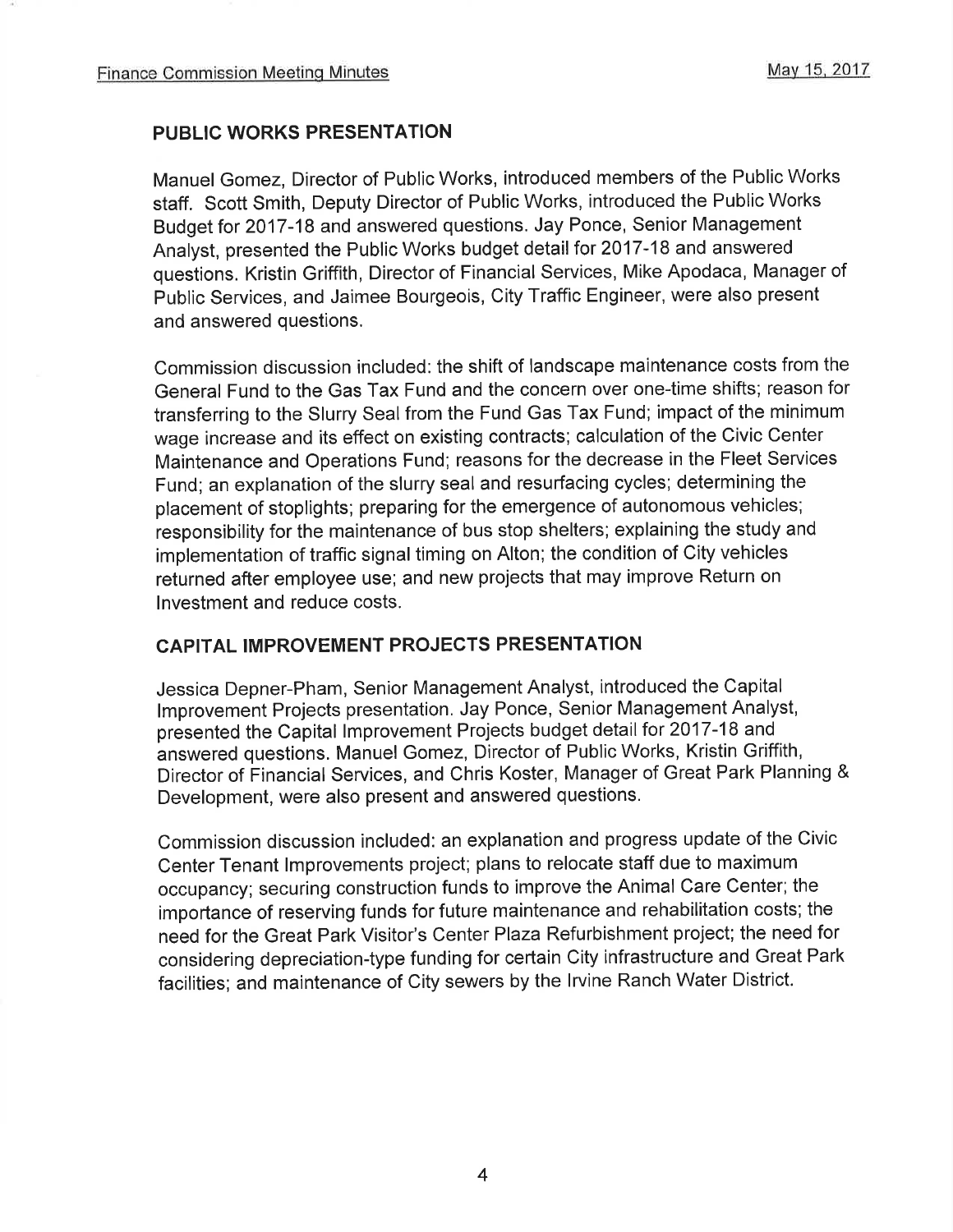# PUBLIC WORKS PRESENTATION

Manuel Gomez, Director of Public Works, introduced members of the Public Works staff. Scott Smith, Deputy Director of Public Works, introduced the Public Works Budget for 2017-18 and answered questions. Jay Ponce, Senior Management Analyst, presented the Public Works budget detail for 2017-18 and answered questions. Kristin Griffith, Director of Financial Services, Mike Apodaca, Manager of Public Services, and Jaimee Bourgeois, City Traffic Engineer, were also present and answered questions.

Commission discussion included: the shift of landscape maintenance costs from the General Fund to the Gas Tax Fund and the concern over one-time shifts; reason for transferring to the Slurry Seal from the Fund Gas Tax Fund; impact of the minimum wage increase and its effect on existing contracts; calculation of the Civic Center Maintenance and Operations Fund; reasons for the decrease in the Fleet Services Fund; an explanation of the slurry seal and resurfacing cycles; determining the placement of stoplights; preparing for the emergence of autonomous vehicles; responsibility for the maintenance of bus stop shelters; explaining the study and implementation of traffic signal timing on Alton; the condition of City vehicles returned after employee use; and new projects that may improve Return on lnvestment and reduce costs.

#### CAPITAL IMPROVEMENT PROJECTS PRESENTATION

Jessica Depner-Pham, Senior Management Analyst, introduced the Capital lmprovement Projects presentation. Jay Ponce, Senior Management Analyst, presented the Capital lmprovement Projects budget detail for 2017-18 and answered questions. Manuel Gomez, Director of Public Works, Kristin Griffith, Director of Financial Services, and Chris Koster, Manager of Great Park Planning & Development, were also present and answered questions.

Commission discussion included: an explanation and progress update of the Civic Center Tenant lmprovements project; plans to relocate staff due to maximum occupancy; securing construction funds to improve the Animal Care Center; the importance of reserving funds for future maintenance and rehabilitation costs; the need for the Great Park Visitor's Center Plaza Refurbishment project; the need for considering depreciation-type funding for certain City infrastructure and Great Park facilities; and maintenance of City sewers by the lrvine Ranch Water District.